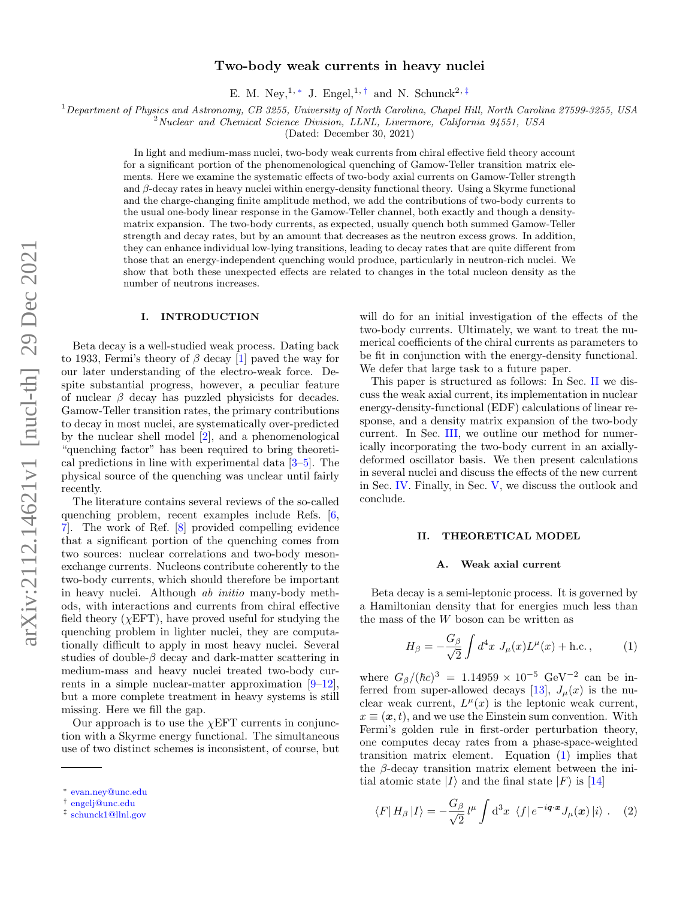# Two-body weak currents in heavy nuclei

E. M. Ney,<sup>1, \*</sup> J. Engel,<sup>1,[†](#page-0-1)</sup> and N. Schunck<sup>2,[‡](#page-0-2)</sup>

 $1$  Department of Physics and Astronomy, CB 3255, University of North Carolina, Chapel Hill, North Carolina 27599-3255, USA

 $2$ Nuclear and Chemical Science Division, LLNL, Livermore, California 94551, USA

(Dated: December 30, 2021)

In light and medium-mass nuclei, two-body weak currents from chiral effective field theory account for a significant portion of the phenomenological quenching of Gamow-Teller transition matrix elements. Here we examine the systematic effects of two-body axial currents on Gamow-Teller strength and  $\beta$ -decay rates in heavy nuclei within energy-density functional theory. Using a Skyrme functional and the charge-changing finite amplitude method, we add the contributions of two-body currents to the usual one-body linear response in the Gamow-Teller channel, both exactly and though a densitymatrix expansion. The two-body currents, as expected, usually quench both summed Gamow-Teller strength and decay rates, but by an amount that decreases as the neutron excess grows. In addition, they can enhance individual low-lying transitions, leading to decay rates that are quite different from those that an energy-independent quenching would produce, particularly in neutron-rich nuclei. We show that both these unexpected effects are related to changes in the total nucleon density as the number of neutrons increases.

### I. INTRODUCTION

Beta decay is a well-studied weak process. Dating back to 1933, Fermi's theory of  $\beta$  decay [\[1\]](#page-11-0) paved the way for our later understanding of the electro-weak force. Despite substantial progress, however, a peculiar feature of nuclear  $\beta$  decay has puzzled physicists for decades. Gamow-Teller transition rates, the primary contributions to decay in most nuclei, are systematically over-predicted by the nuclear shell model [\[2\]](#page-11-1), and a phenomenological "quenching factor" has been required to bring theoretical predictions in line with experimental data [\[3–](#page-11-2)[5\]](#page-11-3). The physical source of the quenching was unclear until fairly recently.

The literature contains several reviews of the so-called quenching problem, recent examples include Refs. [\[6,](#page-11-4) [7\]](#page-11-5). The work of Ref. [\[8\]](#page-11-6) provided compelling evidence that a significant portion of the quenching comes from two sources: nuclear correlations and two-body mesonexchange currents. Nucleons contribute coherently to the two-body currents, which should therefore be important in heavy nuclei. Although ab initio many-body methods, with interactions and currents from chiral effective field theory ( $\chi$ EFT), have proved useful for studying the quenching problem in lighter nuclei, they are computationally difficult to apply in most heavy nuclei. Several studies of double- $\beta$  decay and dark-matter scattering in medium-mass and heavy nuclei treated two-body currents in a simple nuclear-matter approximation [\[9–](#page-11-7)[12\]](#page-11-8), but a more complete treatment in heavy systems is still missing. Here we fill the gap.

Our approach is to use the  $\chi$ EFT currents in conjunction with a Skyrme energy functional. The simultaneous use of two distinct schemes is inconsistent, of course, but

will do for an initial investigation of the effects of the two-body currents. Ultimately, we want to treat the numerical coefficients of the chiral currents as parameters to be fit in conjunction with the energy-density functional. We defer that large task to a future paper.

This paper is structured as follows: In Sec. [II](#page-0-3) we discuss the weak axial current, its implementation in nuclear energy-density-functional (EDF) calculations of linear response, and a density matrix expansion of the two-body current. In Sec. [III,](#page-2-0) we outline our method for numerically incorporating the two-body current in an axiallydeformed oscillator basis. We then present calculations in several nuclei and discuss the effects of the new current in Sec. [IV.](#page-4-0) Finally, in Sec. [V,](#page-8-0) we discuss the outlook and conclude.

### <span id="page-0-3"></span>II. THEORETICAL MODEL

#### A. Weak axial current

Beta decay is a semi-leptonic process. It is governed by a Hamiltonian density that for energies much less than the mass of the W boson can be written as

<span id="page-0-4"></span>
$$
H_{\beta} = -\frac{G_{\beta}}{\sqrt{2}} \int d^4x \ J_{\mu}(x) L^{\mu}(x) + \text{h.c.} \,, \tag{1}
$$

where  $G_{\beta}/(\hbar c)^3 = 1.14959 \times 10^{-5} \text{ GeV}^{-2}$  can be in-ferred from super-allowed decays [\[13\]](#page-11-9),  $J_{\mu}(x)$  is the nuclear weak current,  $L^{\mu}(x)$  is the leptonic weak current,  $x \equiv (\boldsymbol{x}, t)$ , and we use the Einstein sum convention. With Fermi's golden rule in first-order perturbation theory, one computes decay rates from a phase-space-weighted transition matrix element. Equation [\(1\)](#page-0-4) implies that the  $\beta$ -decay transition matrix element between the initial atomic state  $|I\rangle$  and the final state  $|F\rangle$  is [\[14\]](#page-11-10)

<span id="page-0-5"></span>
$$
\langle F|H_{\beta}|I\rangle = -\frac{G_{\beta}}{\sqrt{2}}l^{\mu}\int d^3x \langle f|e^{-i\boldsymbol{q}\cdot\boldsymbol{x}}J_{\mu}(\boldsymbol{x})|i\rangle . \quad (2)
$$

<span id="page-0-0"></span><sup>∗</sup> [evan.ney@unc.edu](mailto:evan.ney@unc.edu)

<span id="page-0-1"></span><sup>†</sup> [engelj@unc.edu](mailto:engelj@unc.edu)

<span id="page-0-2"></span><sup>‡</sup> [schunck1@llnl.gov](mailto:schunck1@llnl.gov)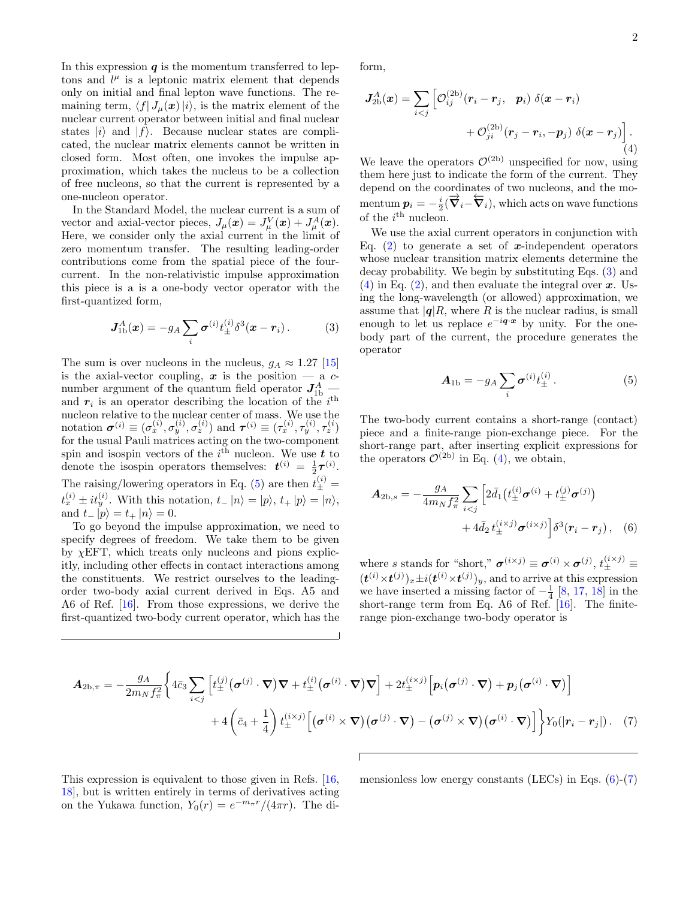In this expression  $\boldsymbol{q}$  is the momentum transferred to leptons and  $l^{\mu}$  is a leptonic matrix element that depends only on initial and final lepton wave functions. The remaining term,  $\langle f| J_\mu(x)|i\rangle$ , is the matrix element of the nuclear current operator between initial and final nuclear states  $|i\rangle$  and  $|f\rangle$ . Because nuclear states are complicated, the nuclear matrix elements cannot be written in closed form. Most often, one invokes the impulse approximation, which takes the nucleus to be a collection of free nucleons, so that the current is represented by a one-nucleon operator.

In the Standard Model, the nuclear current is a sum of vector and axial-vector pieces,  $J_{\mu}(\boldsymbol{x}) = J_{\mu}^{V}(\boldsymbol{x}) + J_{\mu}^{A}(\boldsymbol{x})$ . Here, we consider only the axial current in the limit of zero momentum transfer. The resulting leading-order contributions come from the spatial piece of the fourcurrent. In the non-relativistic impulse approximation this piece is a is a one-body vector operator with the first-quantized form,

<span id="page-1-1"></span>
$$
\mathbf{J}_{1b}^A(\boldsymbol{x}) = -g_A \sum_i \boldsymbol{\sigma}^{(i)} t_{\pm}^{(i)} \delta^3(\boldsymbol{x} - \boldsymbol{r}_i). \tag{3}
$$

The sum is over nucleons in the nucleus,  $g_A \approx 1.27$  [\[15\]](#page-11-11) is the axial-vector coupling,  $x$  is the position  $-$  a  $c$ number argument of the quantum field operator  $J_{1b}^{A}$ and  $r_i$  is an operator describing the location of the  $i<sup>th</sup>$ nucleon relative to the nuclear center of mass. We use the notation  $\boldsymbol{\sigma}^{(i)} \equiv (\sigma_x^{(i)}, \sigma_y^{(i)}, \sigma_z^{(i)})$  and  $\boldsymbol{\tau}^{(i)} \equiv (\tau_x^{(i)}, \tau_y^{(i)}, \tau_z^{(i)})$ for the usual Pauli matrices acting on the two-component spin and isospin vectors of the  $i<sup>th</sup>$  nucleon. We use  $t$  to denote the isospin operators themselves:  $t^{(i)} = \frac{1}{2} \tau^{(i)}$ . The raising/lowering operators in Eq. [\(5\)](#page-1-0) are then  $t_{\pm}^{(i)} =$  $t_x^{(i)} \pm it_y^{(i)}$ . With this notation,  $t-|n\rangle = |p\rangle, t+|p\rangle = |n\rangle,$ and  $t_{-} |p\rangle = t_{+} |n\rangle = 0.$ 

To go beyond the impulse approximation, we need to specify degrees of freedom. We take them to be given by  $\chi$ EFT, which treats only nucleons and pions explicitly, including other effects in contact interactions among the constituents. We restrict ourselves to the leadingorder two-body axial current derived in Eqs. A5 and A6 of Ref. [\[16\]](#page-11-12). From those expressions, we derive the first-quantized two-body current operator, which has the form,

<span id="page-1-2"></span>
$$
J_{2\text{b}}^{A}(x) = \sum_{i < j} \left[ \mathcal{O}_{ij}^{(2\text{b})}(r_i - r_j, p_i) \ \delta(x - r_i) \right. \\ \left. + \mathcal{O}_{ji}^{(2\text{b})}(r_j - r_i, -p_j) \ \delta(x - r_j) \right]. \tag{4}
$$

We leave the operators  $\mathcal{O}^{(2b)}$  unspecified for now, using them here just to indicate the form of the current. They depend on the coordinates of two nucleons, and the momentum  $\boldsymbol{p}_i = -\frac{i}{2}(\overrightarrow{\boldsymbol{\nabla}}_i - \overleftarrow{\boldsymbol{\nabla}}_i)$ , which acts on wave functions of the  $i^{\text{th}}$  nucleon.

We use the axial current operators in conjunction with Eq. [\(2\)](#page-0-5) to generate a set of x-independent operators whose nuclear transition matrix elements determine the decay probability. We begin by substituting Eqs. [\(3\)](#page-1-1) and  $(4)$  in Eq.  $(2)$ , and then evaluate the integral over x. Using the long-wavelength (or allowed) approximation, we assume that  $|q|R$ , where R is the nuclear radius, is small enough to let us replace  $e^{-i\mathbf{q}\cdot\mathbf{x}}$  by unity. For the onebody part of the current, the procedure generates the operator

<span id="page-1-3"></span><span id="page-1-0"></span>
$$
\boldsymbol{A}_{1b} = -g_A \sum_i \boldsymbol{\sigma}^{(i)} t_{\pm}^{(i)}.
$$
 (5)

The two-body current contains a short-range (contact) piece and a finite-range pion-exchange piece. For the short-range part, after inserting explicit expressions for the operators  $\mathcal{O}^{(2b)}$  in Eq. [\(4\)](#page-1-2), we obtain,

$$
A_{2b,s} = -\frac{g_A}{4m_N f_\pi^2} \sum_{i < j} \left[ 2\bar{d}_1 \left( t_\pm^{(i)} \boldsymbol{\sigma}^{(i)} + t_\pm^{(j)} \boldsymbol{\sigma}^{(j)} \right) \right. \\ \left. + 4\bar{d}_2 \, t_\pm^{(i \times j)} \boldsymbol{\sigma}^{(i \times j)} \right] \delta^3(\boldsymbol{r}_i - \boldsymbol{r}_j) \,, \quad (6)
$$

where s stands for "short,"  $\sigma^{(i \times j)} \equiv \sigma^{(i)} \times \sigma^{(j)}$ ,  $t_{\pm}^{(i \times j)} \equiv$  $(\boldsymbol{t}^{(i)} \times \boldsymbol{t}^{(j)})_x \pm i(\boldsymbol{t}^{(i)} \times \boldsymbol{t}^{(j)})_y$ , and to arrive at this expression we have inserted a missing factor of  $-\frac{1}{4}$  [\[8,](#page-11-6) [17,](#page-11-13) [18\]](#page-12-0) in the short-range term from Eq. A6 of Ref. [\[16\]](#page-11-12). The finiterange pion-exchange two-body operator is

$$
\mathbf{A}_{2b,\pi} = -\frac{g_A}{2m_N f_\pi^2} \Biggl\{ 4\bar{c}_3 \sum_{i < j} \Biggl[ t_{\pm}^{(j)} \bigl( \boldsymbol{\sigma}^{(j)} \cdot \boldsymbol{\nabla} \bigr) \boldsymbol{\nabla} + t_{\pm}^{(i)} \bigl( \boldsymbol{\sigma}^{(i)} \cdot \boldsymbol{\nabla} \bigr) \boldsymbol{\nabla} \Biggr] + 2 t_{\pm}^{(i \times j)} \Biggl[ \boldsymbol{p}_i \bigl( \boldsymbol{\sigma}^{(j)} \cdot \boldsymbol{\nabla} \bigr) + \boldsymbol{p}_j \bigl( \boldsymbol{\sigma}^{(i)} \cdot \boldsymbol{\nabla} \bigr) \Biggr] + 4 \Biggl( \bar{c}_4 + \frac{1}{4} \Biggr) t_{\pm}^{(i \times j)} \Biggl[ \bigl( \boldsymbol{\sigma}^{(i)} \times \boldsymbol{\nabla} \bigr) \bigl( \boldsymbol{\sigma}^{(j)} \cdot \boldsymbol{\nabla} \bigr) - \bigl( \boldsymbol{\sigma}^{(j)} \times \boldsymbol{\nabla} \bigr) \bigl( \boldsymbol{\sigma}^{(i)} \cdot \boldsymbol{\nabla} \bigr) \Biggr] \Biggr\} Y_0(|\boldsymbol{r}_i - \boldsymbol{r}_j|) . \tag{7}
$$

This expression is equivalent to those given in Refs. [\[16,](#page-11-12) [18\]](#page-12-0), but is written entirely in terms of derivatives acting on the Yukawa function,  $Y_0(r) = e^{-m_\pi r}/(4\pi r)$ . The di<span id="page-1-4"></span>mensionless low energy constants (LECs) in Eqs.  $(6)-(7)$  $(6)-(7)$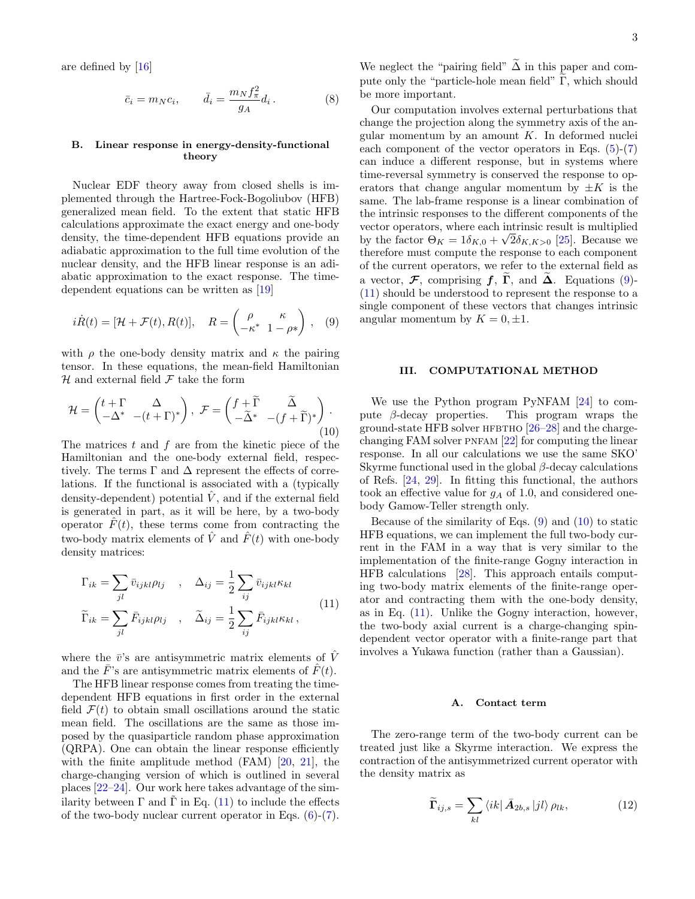are defined by [\[16\]](#page-11-12)

$$
\bar{c}_i = m_N c_i, \qquad \bar{d}_i = \frac{m_N f_\pi^2}{g_A} d_i. \tag{8}
$$

## B. Linear response in energy-density-functional theory

Nuclear EDF theory away from closed shells is implemented through the Hartree-Fock-Bogoliubov (HFB) generalized mean field. To the extent that static HFB calculations approximate the exact energy and one-body density, the time-dependent HFB equations provide an adiabatic approximation to the full time evolution of the nuclear density, and the HFB linear response is an adiabatic approximation to the exact response. The timedependent equations can be written as [\[19\]](#page-12-1)

<span id="page-2-2"></span>
$$
i\dot{R}(t) = [\mathcal{H} + \mathcal{F}(t), R(t)], \quad R = \begin{pmatrix} \rho & \kappa \\ -\kappa^* & 1 - \rho^* \end{pmatrix}, \quad (9)
$$

with  $\rho$  the one-body density matrix and  $\kappa$  the pairing tensor. In these equations, the mean-field Hamiltonian  $H$  and external field  $F$  take the form

<span id="page-2-3"></span>
$$
\mathcal{H} = \begin{pmatrix} t + \Gamma & \Delta \\ -\Delta^* & -(t + \Gamma)^* \end{pmatrix}, \ \mathcal{F} = \begin{pmatrix} f + \widetilde{\Gamma} & \widetilde{\Delta} \\ -\widetilde{\Delta}^* & -(f + \widetilde{\Gamma})^* \end{pmatrix}.
$$
\n(10)

The matrices  $t$  and  $f$  are from the kinetic piece of the Hamiltonian and the one-body external field, respectively. The terms  $\Gamma$  and  $\Delta$  represent the effects of correlations. If the functional is associated with a (typically density-dependent) potential  $\hat{V}$ , and if the external field is generated in part, as it will be here, by a two-body operator  $\hat{F}(t)$ , these terms come from contracting the two-body matrix elements of  $\hat{V}$  and  $\hat{F}(t)$  with one-body density matrices:

<span id="page-2-1"></span>
$$
\Gamma_{ik} = \sum_{jl} \bar{v}_{ijkl} \rho_{lj} \quad , \quad \Delta_{ij} = \frac{1}{2} \sum_{ij} \bar{v}_{ijkl} \kappa_{kl}
$$
\n
$$
\widetilde{\Gamma}_{ik} = \sum_{jl} \bar{F}_{ijkl} \rho_{lj} \quad , \quad \widetilde{\Delta}_{ij} = \frac{1}{2} \sum_{ij} \bar{F}_{ijkl} \kappa_{kl} \,, \tag{11}
$$

where the  $\bar{v}$ 's are antisymmetric matrix elements of  $\bar{V}$ and the  $\bar{F}$ 's are antisymmetric matrix elements of  $\hat{F}(t)$ .

The HFB linear response comes from treating the timedependent HFB equations in first order in the external field  $\mathcal{F}(t)$  to obtain small oscillations around the static mean field. The oscillations are the same as those imposed by the quasiparticle random phase approximation (QRPA). One can obtain the linear response efficiently with the finite amplitude method (FAM) [\[20,](#page-12-2) [21\]](#page-12-3), the charge-changing version of which is outlined in several places [\[22](#page-12-4)[–24\]](#page-12-5). Our work here takes advantage of the similarity between  $\Gamma$  and  $\tilde{\Gamma}$  in Eq. ([11\)](#page-2-1) to include the effects of the two-body nuclear current operator in Eqs.  $(6)-(7)$  $(6)-(7)$ .

We neglect the "pairing field"  $\widetilde{\Delta}$  in this paper and compute only the "particle-hole mean field"  $\Gamma$ , which should be more important.

Our computation involves external perturbations that change the projection along the symmetry axis of the angular momentum by an amount  $K$ . In deformed nuclei each component of the vector operators in Eqs.  $(5)-(7)$  $(5)-(7)$ can induce a different response, but in systems where time-reversal symmetry is conserved the response to operators that change angular momentum by  $\pm K$  is the same. The lab-frame response is a linear combination of the intrinsic responses to the different components of the vector operators, where each intrinsic result is multiplied by the factor  $\Theta_K = 1\delta_{K,0} + \sqrt{2}\delta_{K,K>0}$  [\[25\]](#page-12-6). Because we therefore must compute the response to each component of the current operators, we refer to the external field as a vector,  $\mathcal F$ , comprising  $f$ ,  $\tilde{\Gamma}$ , and  $\tilde{\Delta}$ . Equations [\(9\)](#page-2-2)-[\(11\)](#page-2-1) should be understood to represent the response to a single component of these vectors that changes intrinsic angular momentum by  $K = 0, \pm 1$ .

### <span id="page-2-0"></span>III. COMPUTATIONAL METHOD

We use the Python program PyNFAM [\[24\]](#page-12-5) to compute  $\beta$ -decay properties. This program wraps the ground-state HFB solver HFBTHO  $[26-28]$  $[26-28]$  and the chargechanging FAM solver PNFAM  $[22]$  for computing the linear response. In all our calculations we use the same SKO' Skyrme functional used in the global  $\beta$ -decay calculations of Refs. [\[24,](#page-12-5) [29\]](#page-12-9). In fitting this functional, the authors took an effective value for  $g_A$  of 1.0, and considered onebody Gamow-Teller strength only.

Because of the similarity of Eqs.  $(9)$  and  $(10)$  to static HFB equations, we can implement the full two-body current in the FAM in a way that is very similar to the implementation of the finite-range Gogny interaction in HFB calculations [\[28\]](#page-12-8). This approach entails computing two-body matrix elements of the finite-range operator and contracting them with the one-body density, as in Eq.  $(11)$ . Unlike the Gogny interaction, however, the two-body axial current is a charge-changing spindependent vector operator with a finite-range part that involves a Yukawa function (rather than a Gaussian).

### A. Contact term

The zero-range term of the two-body current can be treated just like a Skyrme interaction. We express the contraction of the antisymmetrized current operator with the density matrix as

<span id="page-2-4"></span>
$$
\widetilde{\Gamma}_{ij,s} = \sum_{kl} \langle ik | \bar{A}_{2b,s} | jl \rangle \rho_{lk}, \qquad (12)
$$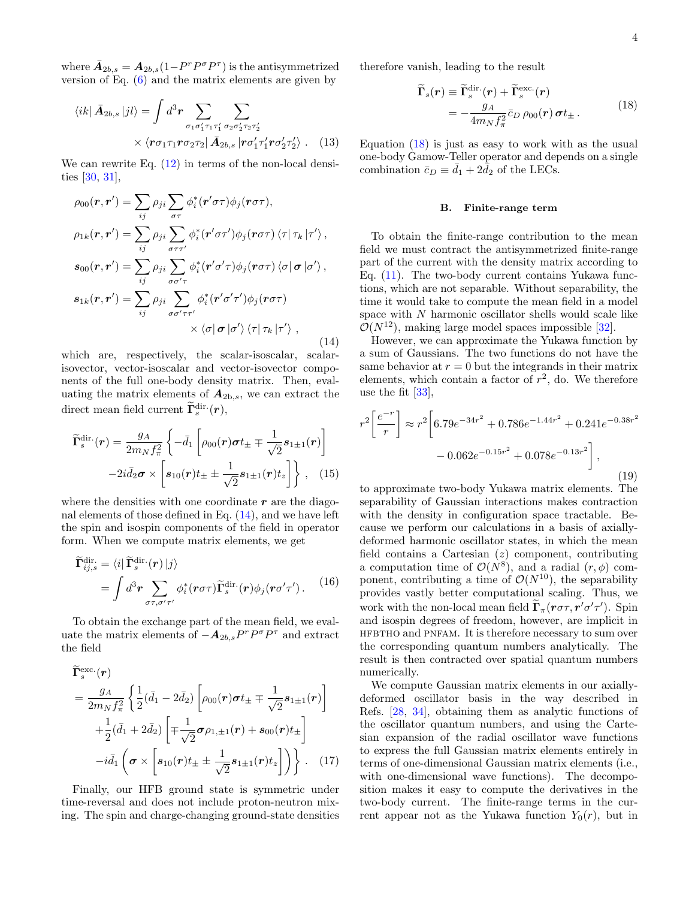where  $\bar{A}_{2b,s} = A_{2b,s}(1 - P^r P^{\sigma} P^{\tau})$  is the antisymmetrized version of Eq. [\(6\)](#page-1-3) and the matrix elements are given by

$$
\langle ik | \bar{A}_{2b,s} | jl \rangle = \int d^3r \sum_{\sigma_1 \sigma'_1 \tau_1 \tau'_1 \sigma_2 \sigma'_2 \tau_2 \tau'_2} \times \langle r \sigma_1 \tau_1 r \sigma_2 \tau_2 | \bar{A}_{2b,s} | r \sigma'_1 \tau'_1 r \sigma'_2 \tau'_2 \rangle . \quad (13)
$$

We can rewrite Eq.  $(12)$  in terms of the non-local densities [\[30,](#page-12-10) [31\]](#page-12-11),

<span id="page-3-0"></span>
$$
\rho_{00}(\mathbf{r}, \mathbf{r}') = \sum_{ij} \rho_{ji} \sum_{\sigma \tau} \phi_i^* (\mathbf{r}' \sigma \tau) \phi_j(\mathbf{r} \sigma \tau),
$$
  
\n
$$
\rho_{1k}(\mathbf{r}, \mathbf{r}') = \sum_{ij} \rho_{ji} \sum_{\sigma \tau \tau'} \phi_i^* (\mathbf{r}' \sigma \tau') \phi_j(\mathbf{r} \sigma \tau) \langle \tau | \tau_k | \tau' \rangle,
$$
  
\n
$$
s_{00}(\mathbf{r}, \mathbf{r}') = \sum_{ij} \rho_{ji} \sum_{\sigma \sigma' \tau} \phi_i^* (\mathbf{r}' \sigma' \tau) \phi_j(\mathbf{r} \sigma \tau) \langle \sigma | \sigma | \sigma' \rangle,
$$
  
\n
$$
s_{1k}(\mathbf{r}, \mathbf{r}') = \sum_{ij} \rho_{ji} \sum_{\sigma \sigma' \tau \tau'} \phi_i^* (\mathbf{r}' \sigma' \tau') \phi_j(\mathbf{r} \sigma \tau)
$$
  
\n
$$
\times \langle \sigma | \sigma | \sigma' \rangle \langle \tau | \tau_k | \tau' \rangle,
$$
\n(14)

which are, respectively, the scalar-isoscalar, scalarisovector, vector-isoscalar and vector-isovector components of the full one-body density matrix. Then, evaluating the matrix elements of  $A_{2b,s}$ , we can extract the direct mean field current  $\tilde{\mathbf{\Gamma}}_s^{\text{dir.}}(\boldsymbol{r}),$ 

$$
\widetilde{\mathbf{\Gamma}}_{s}^{\text{dir.}}(\boldsymbol{r}) = \frac{g_A}{2m_N f_{\pi}^2} \left\{ -\bar{d}_1 \left[ \rho_{00}(\boldsymbol{r}) \boldsymbol{\sigma} t_{\pm} \mp \frac{1}{\sqrt{2}} \boldsymbol{s}_{1\pm 1}(\boldsymbol{r}) \right] - 2i \bar{d}_2 \boldsymbol{\sigma} \times \left[ \boldsymbol{s}_{10}(\boldsymbol{r}) t_{\pm} \pm \frac{1}{\sqrt{2}} \boldsymbol{s}_{1\pm 1}(\boldsymbol{r}) t_z \right] \right\}, \quad (15)
$$

where the densities with one coordinate  $r$  are the diagonal elements of those defined in Eq. [\(14\)](#page-3-0), and we have left the spin and isospin components of the field in operator form. When we compute matrix elements, we get

$$
\widetilde{\mathbf{\Gamma}}_{ij,s}^{\text{dir.}} = \langle i | \widetilde{\mathbf{\Gamma}}_s^{\text{dir.}}(\boldsymbol{r}) | j \rangle \n= \int d^3 \boldsymbol{r} \sum_{\sigma \tau, \sigma' \tau'} \phi_i^*(\boldsymbol{r} \sigma \tau) \widetilde{\mathbf{\Gamma}}_s^{\text{dir.}}(\boldsymbol{r}) \phi_j(\boldsymbol{r} \sigma' \tau'). \tag{16}
$$

To obtain the exchange part of the mean field, we evaluate the matrix elements of  $-\mathbf{A}_{2b,s}P^rP^{\sigma}P^{\tau}$  and extract the field

$$
\widetilde{\Gamma}_{s}^{\text{exc.}}(r) = \frac{g_{A}}{2m_{N}f_{\pi}^{2}} \left\{ \frac{1}{2} (\bar{d}_{1} - 2\bar{d}_{2}) \left[ \rho_{00}(r)\sigma t_{\pm} \mp \frac{1}{\sqrt{2}} s_{1\pm 1}(r) \right] + \frac{1}{2} (\bar{d}_{1} + 2\bar{d}_{2}) \left[ \mp \frac{1}{\sqrt{2}} \sigma \rho_{1,\pm 1}(r) + s_{00}(r) t_{\pm} \right] - i\bar{d}_{1} \left( \sigma \times \left[ s_{10}(r) t_{\pm} \pm \frac{1}{\sqrt{2}} s_{1\pm 1}(r) t_{z} \right] \right) \right\}.
$$
 (17)

Finally, our HFB ground state is symmetric under time-reversal and does not include proton-neutron mixing. The spin and charge-changing ground-state densities therefore vanish, leading to the result

<span id="page-3-1"></span>
$$
\widetilde{\mathbf{\Gamma}}_s(\mathbf{r}) \equiv \widetilde{\mathbf{\Gamma}}_s^{\text{dir.}}(\mathbf{r}) + \widetilde{\mathbf{\Gamma}}_s^{\text{exc.}}(\mathbf{r}) \n= -\frac{g_A}{4m_N f_\pi^2} \bar{c}_D \rho_{00}(\mathbf{r}) \, \boldsymbol{\sigma} t_{\pm}.
$$
\n(18)

Equation  $(18)$  is just as easy to work with as the usual one-body Gamow-Teller operator and depends on a single combination  $\bar{c}_D \equiv \bar{d}_1 + 2 \bar{d}_2$  of the LECs.

#### B. Finite-range term

To obtain the finite-range contribution to the mean field we must contract the antisymmetrized finite-range part of the current with the density matrix according to Eq. [\(11\)](#page-2-1). The two-body current contains Yukawa functions, which are not separable. Without separability, the time it would take to compute the mean field in a model space with N harmonic oscillator shells would scale like  $\mathcal{O}(N^{12})$ , making large model spaces impossible [\[32\]](#page-12-12).

However, we can approximate the Yukawa function by a sum of Gaussians. The two functions do not have the same behavior at  $r = 0$  but the integrands in their matrix elements, which contain a factor of  $r^2$ , do. We therefore use the fit [\[33\]](#page-12-13),

$$
r^{2} \left[ \frac{e^{-r}}{r} \right] \approx r^{2} \left[ 6.79e^{-34r^{2}} + 0.786e^{-1.44r^{2}} + 0.241e^{-0.38r^{2}} - 0.062e^{-0.15r^{2}} + 0.078e^{-0.13r^{2}} \right],
$$
\n(19)

to approximate two-body Yukawa matrix elements. The separability of Gaussian interactions makes contraction with the density in configuration space tractable. Because we perform our calculations in a basis of axiallydeformed harmonic oscillator states, in which the mean field contains a Cartesian  $(z)$  component, contributing a computation time of  $\mathcal{O}(N^8)$ , and a radial  $(r, \phi)$  component, contributing a time of  $\mathcal{O}(N^{10})$ , the separability provides vastly better computational scaling. Thus, we work with the non-local mean field  $\Gamma_{\pi}(r\sigma\tau, r'\sigma'\tau')$ . Spin and isospin degrees of freedom, however, are implicit in HFBTHO and PNFAM. It is therefore necessary to sum over the corresponding quantum numbers analytically. The result is then contracted over spatial quantum numbers numerically.

<span id="page-3-2"></span>We compute Gaussian matrix elements in our axiallydeformed oscillator basis in the way described in Refs. [\[28,](#page-12-8) [34\]](#page-12-14), obtaining them as analytic functions of the oscillator quantum numbers, and using the Cartesian expansion of the radial oscillator wave functions to express the full Gaussian matrix elements entirely in terms of one-dimensional Gaussian matrix elements (i.e., with one-dimensional wave functions). The decomposition makes it easy to compute the derivatives in the two-body current. The finite-range terms in the current appear not as the Yukawa function  $Y_0(r)$ , but in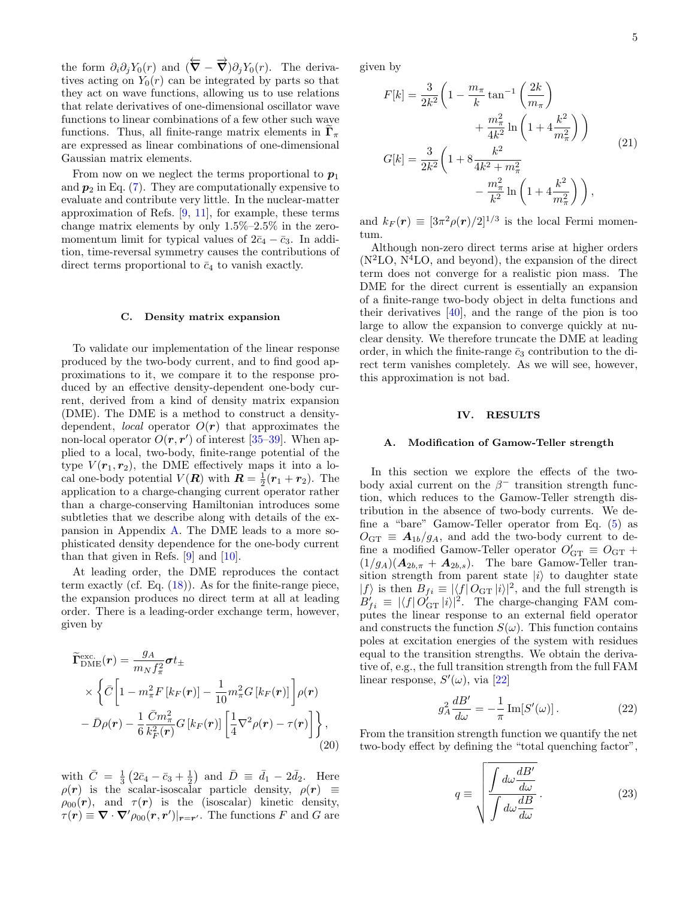the form  $\partial_i \partial_j Y_0(r)$  and  $(\overleftarrow{\nabla} - \overrightarrow{\nabla}) \partial_j Y_0(r)$ . The derivatives acting on  $Y_0(r)$  can be integrated by parts so that they act on wave functions, allowing us to use relations that relate derivatives of one-dimensional oscillator wave functions to linear combinations of a few other such wave functions. Thus, all finite-range matrix elements in  $\Gamma_{\pi}$ are expressed as linear combinations of one-dimensional Gaussian matrix elements.

From now on we neglect the terms proportional to  $p_1$ and  $p_2$  in Eq. [\(7\)](#page-1-4). They are computationally expensive to evaluate and contribute very little. In the nuclear-matter approximation of Refs.  $[9, 11]$  $[9, 11]$ , for example, these terms change matrix elements by only 1.5%–2.5% in the zeromomentum limit for typical values of  $2\bar{c}_4 - \bar{c}_3$ . In addition, time-reversal symmetry causes the contributions of direct terms proportional to  $\bar{c}_4$  to vanish exactly.

#### C. Density matrix expansion

To validate our implementation of the linear response produced by the two-body current, and to find good approximations to it, we compare it to the response produced by an effective density-dependent one-body current, derived from a kind of density matrix expansion (DME). The DME is a method to construct a densitydependent, *local* operator  $O(r)$  that approximates the non-local operator  $O(r, r')$  of interest [\[35–](#page-12-15)[39\]](#page-12-16). When applied to a local, two-body, finite-range potential of the type  $V(\mathbf{r}_1, \mathbf{r}_2)$ , the DME effectively maps it into a local one-body potential  $V(R)$  with  $R = \frac{1}{2}(r_1 + r_2)$ . The application to a charge-changing current operator rather than a charge-conserving Hamiltonian introduces some subtleties that we describe along with details of the expansion in Appendix [A.](#page-9-0) The DME leads to a more sophisticated density dependence for the one-body current than that given in Refs.  $[9]$  and  $[10]$ .

At leading order, the DME reproduces the contact term exactly (cf. Eq. [\(18\)](#page-3-1)). As for the finite-range piece, the expansion produces no direct term at all at leading order. There is a leading-order exchange term, however, given by

$$
\widetilde{\mathbf{\Gamma}}_{\text{DME}}^{\text{exc.}}(\mathbf{r}) = \frac{g_A}{m_N f_\pi^2} \boldsymbol{\sigma} t_{\pm} \times \left\{ \bar{C} \left[ 1 - m_\pi^2 F \left[ k_F(\mathbf{r}) \right] - \frac{1}{10} m_\pi^2 G \left[ k_F(\mathbf{r}) \right] \right] \rho(\mathbf{r}) - \bar{D}\rho(\mathbf{r}) - \frac{1}{6} \frac{\bar{C}m_\pi^2}{k_F^2(\mathbf{r})} G \left[ k_F(\mathbf{r}) \right] \left[ \frac{1}{4} \nabla^2 \rho(\mathbf{r}) - \tau(\mathbf{r}) \right] \right\},
$$
\n(20)

with  $\bar{C} = \frac{1}{3} (2\bar{c}_4 - \bar{c}_3 + \frac{1}{2})$  and  $\bar{D} \equiv \bar{d}_1 - 2\bar{d}_2$ . Here  $\rho(r)$  is the scalar-isoscalar particle density,  $\rho(r) \equiv$  $\rho_{00}(\mathbf{r})$ , and  $\tau(\mathbf{r})$  is the (isoscalar) kinetic density,  $\tau(\mathbf{r}) \equiv \nabla \cdot \nabla' \rho_{00}(\mathbf{r}, \mathbf{r}')|_{\mathbf{r} = \mathbf{r}'}$ . The functions F and G are given by

$$
F[k] = \frac{3}{2k^2} \left( 1 - \frac{m_\pi}{k} \tan^{-1} \left( \frac{2k}{m_\pi} \right) + \frac{m_\pi^2}{4k^2} \ln \left( 1 + 4 \frac{k^2}{m_\pi^2} \right) \right) + \frac{m_\pi^2}{4k^2} \ln \left( 1 + 4 \frac{k^2}{m_\pi^2} \right) \right)
$$
\n
$$
G[k] = \frac{3}{2k^2} \left( 1 + 8 \frac{k^2}{4k^2 + m_\pi^2} - \frac{m_\pi^2}{k^2} \ln \left( 1 + 4 \frac{k^2}{m_\pi^2} \right) \right),
$$
\n(21)

and  $k_F(\mathbf{r}) \equiv [3\pi^2 \rho(\mathbf{r})/2]^{1/3}$  is the local Fermi momentum.

Although non-zero direct terms arise at higher orders  $(N<sup>2</sup>LO, N<sup>4</sup>LO, and beyond)$ , the expansion of the direct term does not converge for a realistic pion mass. The DME for the direct current is essentially an expansion of a finite-range two-body object in delta functions and their derivatives [\[40\]](#page-12-17), and the range of the pion is too large to allow the expansion to converge quickly at nuclear density. We therefore truncate the DME at leading order, in which the finite-range  $\bar{c}_3$  contribution to the direct term vanishes completely. As we will see, however, this approximation is not bad.

#### <span id="page-4-0"></span>IV. RESULTS

#### A. Modification of Gamow-Teller strength

In this section we explore the effects of the twobody axial current on the  $\beta^-$  transition strength function, which reduces to the Gamow-Teller strength distribution in the absence of two-body currents. We define a "bare" Gamow-Teller operator from Eq. [\(5\)](#page-1-0) as  $O_{\text{GT}} \equiv A_{1b}/g_A$ , and add the two-body current to define a modified Gamow-Teller operator  $O'_{\text{GT}} \equiv O_{\text{GT}} +$  $(1/g_A)(\mathbf{A}_{2b,\pi} + \mathbf{A}_{2b,s})$ . The bare Gamow-Teller transition strength from parent state  $|i\rangle$  to daughter state  $|f\rangle$  is then  $B_{fi} \equiv |\langle f| O_{\text{GT}} |i\rangle|^2$ , and the full strength is  $B'_{fi} \equiv |\langle f| O_{\text{GT}}' |i\rangle|^2$ . The charge-changing FAM computes the linear response to an external field operator and constructs the function  $S(\omega)$ . This function contains poles at excitation energies of the system with residues equal to the transition strengths. We obtain the derivative of, e.g., the full transition strength from the full FAM linear response,  $S'(\omega)$ , via [\[22\]](#page-12-4)

$$
g_A^2 \frac{dB'}{d\omega} = -\frac{1}{\pi} \operatorname{Im}[S'(\omega)]. \tag{22}
$$

<span id="page-4-2"></span>From the transition strength function we quantify the net two-body effect by defining the "total quenching factor",

<span id="page-4-1"></span>
$$
q \equiv \sqrt{\frac{\int d\omega \frac{dB'}{d\omega}}{\int d\omega \frac{dB'}{d\omega}}}.
$$
 (23)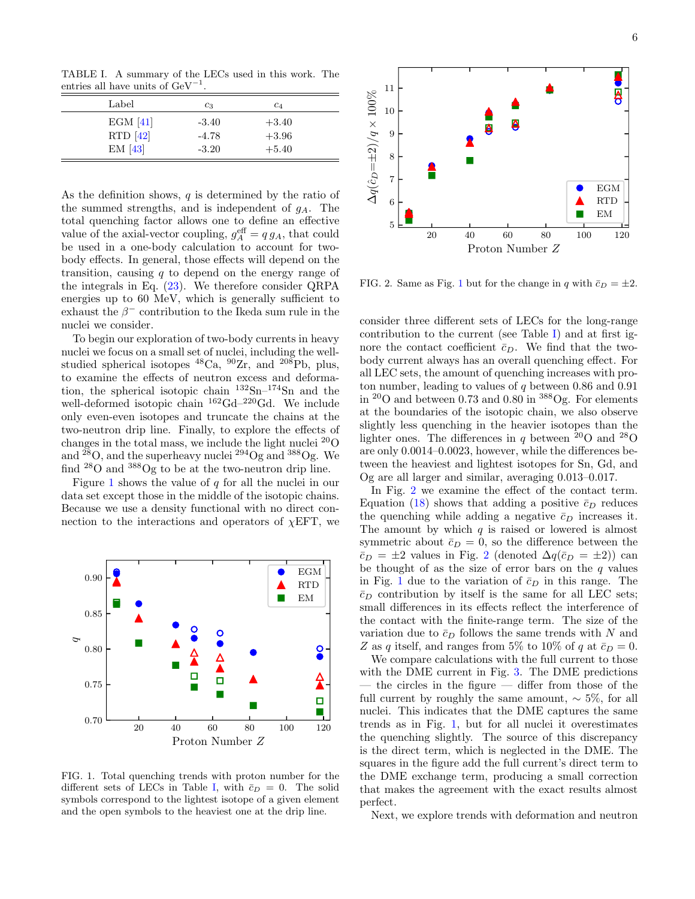<span id="page-5-1"></span>TABLE I. A summary of the LECs used in this work. The entries all have units of  $\text{GeV}^{-1}$ .

| Label    | $c_3$   | C4      |  |
|----------|---------|---------|--|
| EGM [41] | $-3.40$ | $+3.40$ |  |
| RTD [42] | $-4.78$ | $+3.96$ |  |
| EM[43]   | $-3.20$ | $+5.40$ |  |

As the definition shows, q is determined by the ratio of the summed strengths, and is independent of  $g_A$ . The total quenching factor allows one to define an effective value of the axial-vector coupling,  $g_A^{\text{eff}} = q g_A$ , that could be used in a one-body calculation to account for twobody effects. In general, those effects will depend on the transition, causing  $q$  to depend on the energy range of the integrals in Eq. [\(23\)](#page-4-1). We therefore consider QRPA energies up to 60 MeV, which is generally sufficient to exhaust the  $\beta^-$  contribution to the Ikeda sum rule in the nuclei we consider.

To begin our exploration of two-body currents in heavy nuclei we focus on a small set of nuclei, including the wellstudied spherical isotopes  ${}^{48}Ca$ ,  ${}^{90}Zr$ , and  ${}^{208}Pb$ , plus, to examine the effects of neutron excess and deformation, the spherical isotopic chain  $132\text{Sn}$ – $174\text{Sn}$  and the well-deformed isotopic chain  $^{162}$ Gd– $^{220}$ Gd. We include only even-even isotopes and truncate the chains at the two-neutron drip line. Finally, to explore the effects of changes in the total mass, we include the light nuclei  $^{20}$ O and  $^{28}O$ , and the superheavy nuclei  $^{294}Og$  and  $^{388}Og$ . We find  $^{28}O$  and  $^{388}Og$  to be at the two-neutron drip line.

Figure [1](#page-5-0) shows the value of  $q$  for all the nuclei in our data set except those in the middle of the isotopic chains. Because we use a density functional with no direct connection to the interactions and operators of  $\chi$ EFT, we



<span id="page-5-0"></span>FIG. 1. Total quenching trends with proton number for the different sets of LECs in Table [I,](#page-5-1) with  $\bar{c}_D = 0$ . The solid symbols correspond to the lightest isotope of a given element and the open symbols to the heaviest one at the drip line.



<span id="page-5-2"></span>FIG. 2. Same as Fig. [1](#page-5-0) but for the change in q with  $\bar{c}_D = \pm 2$ .

consider three different sets of LECs for the long-range contribution to the current (see Table [I\)](#page-5-1) and at first ignore the contact coefficient  $\bar{c}_D$ . We find that the twobody current always has an overall quenching effect. For all LEC sets, the amount of quenching increases with proton number, leading to values of  $q$  between 0.86 and 0.91 in <sup>20</sup>O and between 0.73 and 0.80 in <sup>388</sup>Og. For elements at the boundaries of the isotopic chain, we also observe slightly less quenching in the heavier isotopes than the lighter ones. The differences in q between  $^{20}$ O and  $^{28}$ O are only 0.0014–0.0023, however, while the differences between the heaviest and lightest isotopes for Sn, Gd, and Og are all larger and similar, averaging 0.013–0.017.

In Fig. [2](#page-5-2) we examine the effect of the contact term. Equation [\(18\)](#page-3-1) shows that adding a positive  $\bar{c}_D$  reduces the quenching while adding a negative  $\bar{c}_D$  increases it. The amount by which  $q$  is raised or lowered is almost symmetric about  $\bar{c}_D = 0$ , so the difference between the  $\bar{c}_D = \pm 2$  $\bar{c}_D = \pm 2$  values in Fig. 2 (denoted  $\Delta q(\bar{c}_D = \pm 2)$ ) can be thought of as the size of error bars on the  $q$  values in Fig. [1](#page-5-0) due to the variation of  $\bar{c}_D$  in this range. The  $\bar{c}_D$  contribution by itself is the same for all LEC sets; small differences in its effects reflect the interference of the contact with the finite-range term. The size of the variation due to  $\bar{c}_D$  follows the same trends with N and Z as q itself, and ranges from 5% to 10% of q at  $\bar{c}_D = 0$ .

We compare calculations with the full current to those with the DME current in Fig. [3.](#page-6-0) The DME predictions — the circles in the figure — differ from those of the full current by roughly the same amount,  $\sim$  5%, for all nuclei. This indicates that the DME captures the same trends as in Fig. [1,](#page-5-0) but for all nuclei it overestimates the quenching slightly. The source of this discrepancy is the direct term, which is neglected in the DME. The squares in the figure add the full current's direct term to the DME exchange term, producing a small correction that makes the agreement with the exact results almost perfect.

Next, we explore trends with deformation and neutron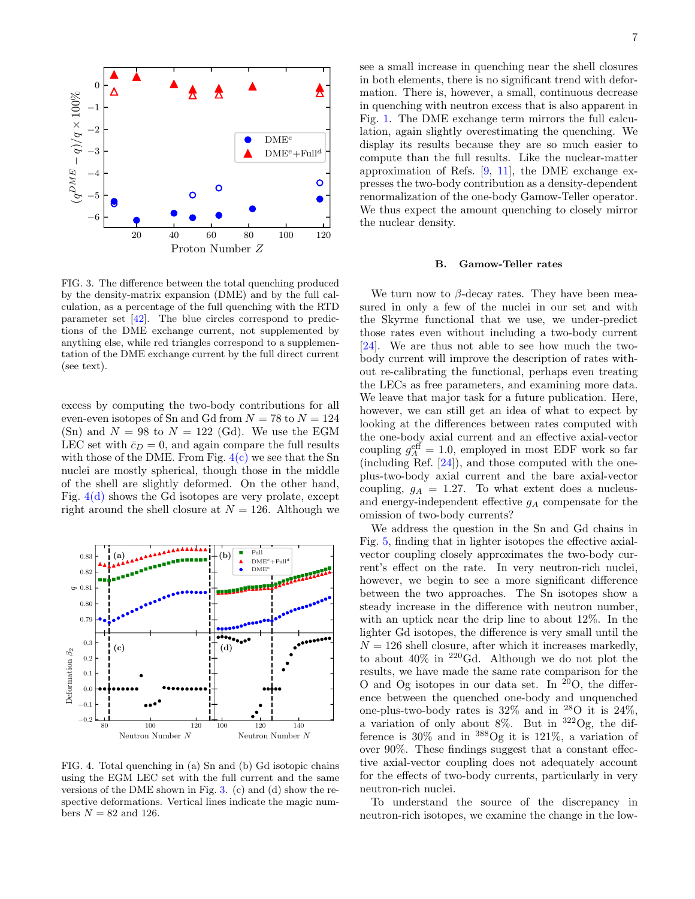

<span id="page-6-0"></span>FIG. 3. The difference between the total quenching produced by the density-matrix expansion (DME) and by the full calculation, as a percentage of the full quenching with the RTD parameter set [\[42\]](#page-12-19). The blue circles correspond to predictions of the DME exchange current, not supplemented by anything else, while red triangles correspond to a supplementation of the DME exchange current by the full direct current (see text).

excess by computing the two-body contributions for all even-even isotopes of Sn and Gd from  $N = 78$  to  $N = 124$ (Sn) and  $N = 98$  to  $N = 122$  (Gd). We use the EGM LEC set with  $\bar{c}_D = 0$ , and again compare the full results with those of the DME. From Fig.  $4(c)$  we see that the Sn nuclei are mostly spherical, though those in the middle of the shell are slightly deformed. On the other hand, Fig.  $4(d)$  shows the Gd isotopes are very prolate, except right around the shell closure at  $N = 126$ . Although we



<span id="page-6-1"></span>FIG. 4. Total quenching in (a) Sn and (b) Gd isotopic chains using the EGM LEC set with the full current and the same versions of the DME shown in Fig. [3.](#page-6-0) (c) and (d) show the respective deformations. Vertical lines indicate the magic numbers  $N = 82$  and 126.

see a small increase in quenching near the shell closures in both elements, there is no significant trend with deformation. There is, however, a small, continuous decrease in quenching with neutron excess that is also apparent in Fig. [1.](#page-5-0) The DME exchange term mirrors the full calculation, again slightly overestimating the quenching. We display its results because they are so much easier to compute than the full results. Like the nuclear-matter approximation of Refs. [\[9,](#page-11-7) [11\]](#page-11-14), the DME exchange expresses the two-body contribution as a density-dependent renormalization of the one-body Gamow-Teller operator. We thus expect the amount quenching to closely mirror the nuclear density.

### B. Gamow-Teller rates

We turn now to  $\beta$ -decay rates. They have been measured in only a few of the nuclei in our set and with the Skyrme functional that we use, we under-predict those rates even without including a two-body current [\[24\]](#page-12-5). We are thus not able to see how much the twobody current will improve the description of rates without re-calibrating the functional, perhaps even treating the LECs as free parameters, and examining more data. We leave that major task for a future publication. Here, however, we can still get an idea of what to expect by looking at the differences between rates computed with the one-body axial current and an effective axial-vector coupling  $g_A^{\text{eff}} = 1.0$ , employed in most EDF work so far (including Ref. [\[24\]](#page-12-5)), and those computed with the oneplus-two-body axial current and the bare axial-vector coupling,  $g_A = 1.27$ . To what extent does a nucleusand energy-independent effective  $g_A$  compensate for the omission of two-body currents?

We address the question in the Sn and Gd chains in Fig. [5,](#page-7-0) finding that in lighter isotopes the effective axialvector coupling closely approximates the two-body current's effect on the rate. In very neutron-rich nuclei, however, we begin to see a more significant difference between the two approaches. The Sn isotopes show a steady increase in the difference with neutron number, with an uptick near the drip line to about 12%. In the lighter Gd isotopes, the difference is very small until the  $N = 126$  shell closure, after which it increases markedly, to about 40% in <sup>220</sup>Gd. Although we do not plot the results, we have made the same rate comparison for the O and Og isotopes in our data set. In  $20$ O, the difference between the quenched one-body and unquenched one-plus-two-body rates is  $32\%$  and in  $^{28}$ O it is  $24\%$ , a variation of only about 8%. But in  $322$ Og, the difference is  $30\%$  and in  $388$ Og it is  $121\%$ , a variation of over 90%. These findings suggest that a constant effective axial-vector coupling does not adequately account for the effects of two-body currents, particularly in very neutron-rich nuclei.

To understand the source of the discrepancy in neutron-rich isotopes, we examine the change in the low-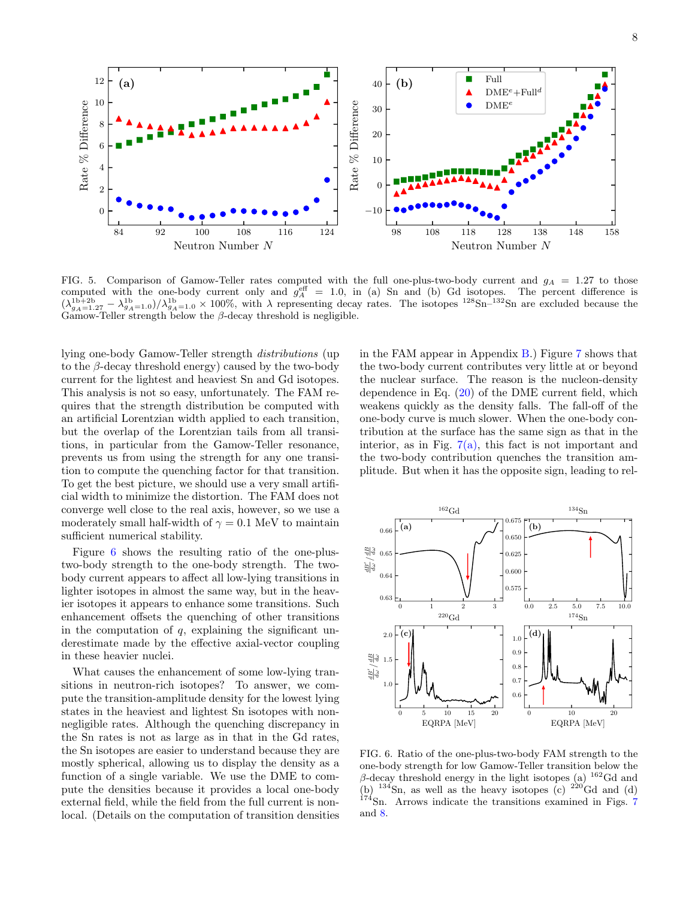

<span id="page-7-0"></span>FIG. 5. Comparison of Gamow-Teller rates computed with the full one-plus-two-body current and  $g_A = 1.27$  to those computed with the one-body current only and  $g_A^{\text{eff}} = 1.0$ , in (a) Sn and (b) Gd isotopes. The percent difference is  $(\lambda_{g_A=1.27}^{1b+2b} - \lambda_{g_A=1.0}^{1b})/\lambda_{g_A=1.0}^{1b} \times 100\%$ , with  $\lambda$  representing decay rates. The isotopes  $^{128}Sn^{-132}Sn$  are excluded because the  $Ga$ mow-Teller strength below the  $\beta$ -decay threshold is negligible.

lying one-body Gamow-Teller strength distributions (up to the  $\beta$ -decay threshold energy) caused by the two-body current for the lightest and heaviest Sn and Gd isotopes. This analysis is not so easy, unfortunately. The FAM requires that the strength distribution be computed with an artificial Lorentzian width applied to each transition, but the overlap of the Lorentzian tails from all transitions, in particular from the Gamow-Teller resonance, prevents us from using the strength for any one transition to compute the quenching factor for that transition. To get the best picture, we should use a very small artificial width to minimize the distortion. The FAM does not converge well close to the real axis, however, so we use a moderately small half-width of  $\gamma = 0.1$  MeV to maintain sufficient numerical stability.

Figure [6](#page-7-1) shows the resulting ratio of the one-plustwo-body strength to the one-body strength. The twobody current appears to affect all low-lying transitions in lighter isotopes in almost the same way, but in the heavier isotopes it appears to enhance some transitions. Such enhancement offsets the quenching of other transitions in the computation of  $q$ , explaining the significant underestimate made by the effective axial-vector coupling in these heavier nuclei.

What causes the enhancement of some low-lying transitions in neutron-rich isotopes? To answer, we compute the transition-amplitude density for the lowest lying states in the heaviest and lightest Sn isotopes with nonnegligible rates. Although the quenching discrepancy in the Sn rates is not as large as in that in the Gd rates, the Sn isotopes are easier to understand because they are mostly spherical, allowing us to display the density as a function of a single variable. We use the DME to compute the densities because it provides a local one-body external field, while the field from the full current is nonlocal. (Details on the computation of transition densities

in the FAM appear in Appendix [B.](#page-10-0)) Figure [7](#page-8-1) shows that the two-body current contributes very little at or beyond the nuclear surface. The reason is the nucleon-density dependence in Eq. [\(20\)](#page-4-2) of the DME current field, which weakens quickly as the density falls. The fall-off of the one-body curve is much slower. When the one-body contribution at the surface has the same sign as that in the interior, as in Fig.  $7(a)$ , this fact is not important and the two-body contribution quenches the transition amplitude. But when it has the opposite sign, leading to rel-



<span id="page-7-1"></span>FIG. 6. Ratio of the one-plus-two-body FAM strength to the one-body strength for low Gamow-Teller transition below the β-decay threshold energy in the light isotopes (a)  $162$  Gd and (b)  $134\text{Sn}$ , as well as the heavy isotopes (c)  $220\text{Gd}$  and (d) <sup>1[7](#page-8-1)4</sup>Sn. Arrows indicate the transitions examined in Figs. 7 and [8.](#page-9-1)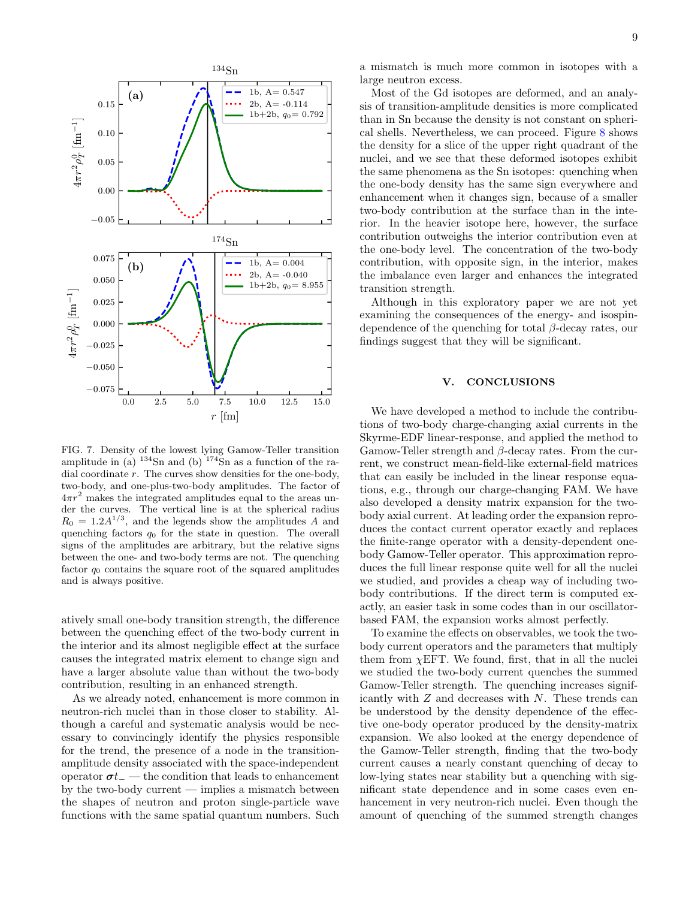

<span id="page-8-1"></span>FIG. 7. Density of the lowest lying Gamow-Teller transition amplitude in (a)  $134\text{Sn}$  and (b)  $174\text{Sn}$  as a function of the radial coordinate  $r$ . The curves show densities for the one-body, two-body, and one-plus-two-body amplitudes. The factor of  $4\pi r^2$  makes the integrated amplitudes equal to the areas under the curves. The vertical line is at the spherical radius  $R_0 = 1.2 A^{1/3}$ , and the legends show the amplitudes A and quenching factors  $q_0$  for the state in question. The overall signs of the amplitudes are arbitrary, but the relative signs between the one- and two-body terms are not. The quenching factor  $q_0$  contains the square root of the squared amplitudes and is always positive.

atively small one-body transition strength, the difference between the quenching effect of the two-body current in the interior and its almost negligible effect at the surface causes the integrated matrix element to change sign and have a larger absolute value than without the two-body contribution, resulting in an enhanced strength.

As we already noted, enhancement is more common in neutron-rich nuclei than in those closer to stability. Although a careful and systematic analysis would be necessary to convincingly identify the physics responsible for the trend, the presence of a node in the transitionamplitude density associated with the space-independent operator  $\sigma t_$  — the condition that leads to enhancement by the two-body current — implies a mismatch between the shapes of neutron and proton single-particle wave functions with the same spatial quantum numbers. Such

a mismatch is much more common in isotopes with a large neutron excess.

Most of the Gd isotopes are deformed, and an analysis of transition-amplitude densities is more complicated than in Sn because the density is not constant on spherical shells. Nevertheless, we can proceed. Figure [8](#page-9-1) shows the density for a slice of the upper right quadrant of the nuclei, and we see that these deformed isotopes exhibit the same phenomena as the Sn isotopes: quenching when the one-body density has the same sign everywhere and enhancement when it changes sign, because of a smaller two-body contribution at the surface than in the interior. In the heavier isotope here, however, the surface contribution outweighs the interior contribution even at the one-body level. The concentration of the two-body contribution, with opposite sign, in the interior, makes the imbalance even larger and enhances the integrated transition strength.

Although in this exploratory paper we are not yet examining the consequences of the energy- and isospindependence of the quenching for total  $\beta$ -decay rates, our findings suggest that they will be significant.

# <span id="page-8-0"></span>V. CONCLUSIONS

We have developed a method to include the contributions of two-body charge-changing axial currents in the Skyrme-EDF linear-response, and applied the method to Gamow-Teller strength and  $\beta$ -decay rates. From the current, we construct mean-field-like external-field matrices that can easily be included in the linear response equations, e.g., through our charge-changing FAM. We have also developed a density matrix expansion for the twobody axial current. At leading order the expansion reproduces the contact current operator exactly and replaces the finite-range operator with a density-dependent onebody Gamow-Teller operator. This approximation reproduces the full linear response quite well for all the nuclei we studied, and provides a cheap way of including twobody contributions. If the direct term is computed exactly, an easier task in some codes than in our oscillatorbased FAM, the expansion works almost perfectly.

To examine the effects on observables, we took the twobody current operators and the parameters that multiply them from  $\chi$ EFT. We found, first, that in all the nuclei we studied the two-body current quenches the summed Gamow-Teller strength. The quenching increases significantly with  $Z$  and decreases with  $N$ . These trends can be understood by the density dependence of the effective one-body operator produced by the density-matrix expansion. We also looked at the energy dependence of the Gamow-Teller strength, finding that the two-body current causes a nearly constant quenching of decay to low-lying states near stability but a quenching with significant state dependence and in some cases even enhancement in very neutron-rich nuclei. Even though the amount of quenching of the summed strength changes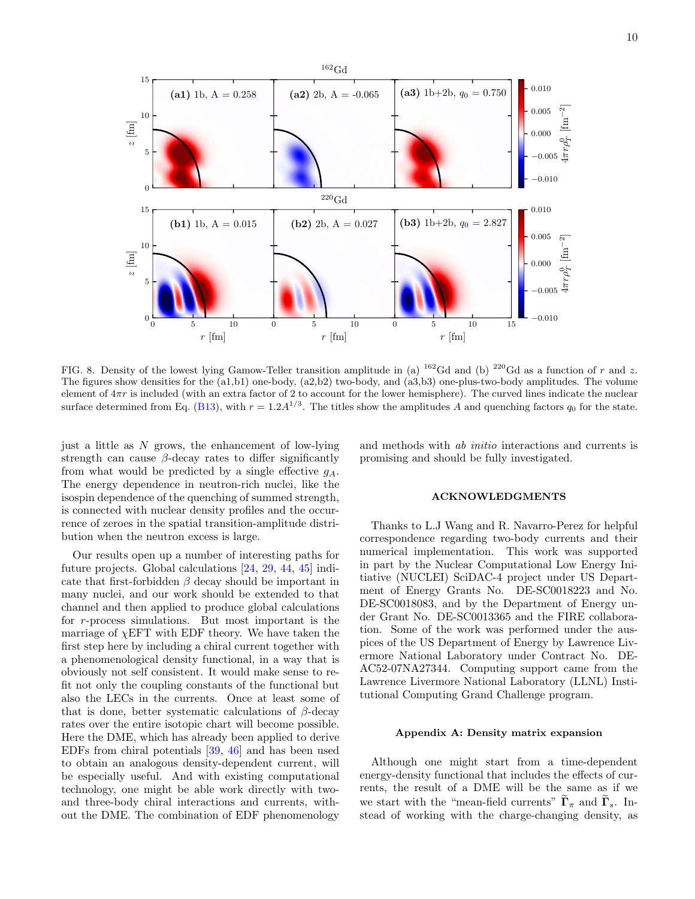

<span id="page-9-1"></span>FIG. 8. Density of the lowest lying Gamow-Teller transition amplitude in (a) <sup>162</sup>Gd and (b) <sup>220</sup>Gd as a function of r and z. The figures show densities for the (a1,b1) one-body, (a2,b2) two-body, and (a3,b3) one-plus-two-body amplitudes. The volume element of  $4\pi r$  is included (with an extra factor of 2 to account for the lower hemisphere). The curved lines indicate the nuclear surface determined from Eq. [\(B13\)](#page-11-16), with  $r = 1.2A^{1/3}$ . The titles show the amplitudes A and quenching factors  $q_0$  for the state.

just a little as  $N$  grows, the enhancement of low-lying strength can cause  $\beta$ -decay rates to differ significantly from what would be predicted by a single effective  $q_A$ . The energy dependence in neutron-rich nuclei, like the isospin dependence of the quenching of summed strength, is connected with nuclear density profiles and the occurrence of zeroes in the spatial transition-amplitude distribution when the neutron excess is large.

Our results open up a number of interesting paths for future projects. Global calculations [\[24,](#page-12-5) [29,](#page-12-9) [44,](#page-12-21) [45\]](#page-12-22) indicate that first-forbidden  $\beta$  decay should be important in many nuclei, and our work should be extended to that channel and then applied to produce global calculations for r-process simulations. But most important is the marriage of  $\chi$ EFT with EDF theory. We have taken the first step here by including a chiral current together with a phenomenological density functional, in a way that is obviously not self consistent. It would make sense to refit not only the coupling constants of the functional but also the LECs in the currents. Once at least some of that is done, better systematic calculations of  $\beta$ -decay rates over the entire isotopic chart will become possible. Here the DME, which has already been applied to derive EDFs from chiral potentials [\[39,](#page-12-16) [46\]](#page-12-23) and has been used to obtain an analogous density-dependent current, will be especially useful. And with existing computational technology, one might be able work directly with twoand three-body chiral interactions and currents, without the DME. The combination of EDF phenomenology

and methods with ab initio interactions and currents is promising and should be fully investigated.

## ACKNOWLEDGMENTS

Thanks to L.J Wang and R. Navarro-Perez for helpful correspondence regarding two-body currents and their numerical implementation. This work was supported in part by the Nuclear Computational Low Energy Initiative (NUCLEI) SciDAC-4 project under US Department of Energy Grants No. DE-SC0018223 and No. DE-SC0018083, and by the Department of Energy under Grant No. DE-SC0013365 and the FIRE collaboration. Some of the work was performed under the auspices of the US Department of Energy by Lawrence Livermore National Laboratory under Contract No. DE-AC52-07NA27344. Computing support came from the Lawrence Livermore National Laboratory (LLNL) Institutional Computing Grand Challenge program.

#### <span id="page-9-0"></span>Appendix A: Density matrix expansion

Although one might start from a time-dependent energy-density functional that includes the effects of currents, the result of a DME will be the same as if we we start with the "mean-field currents"  $\widetilde{\Gamma}_{\pi}$  and  $\widetilde{\Gamma}_{s}$ . Instead of working with the charge-changing density, as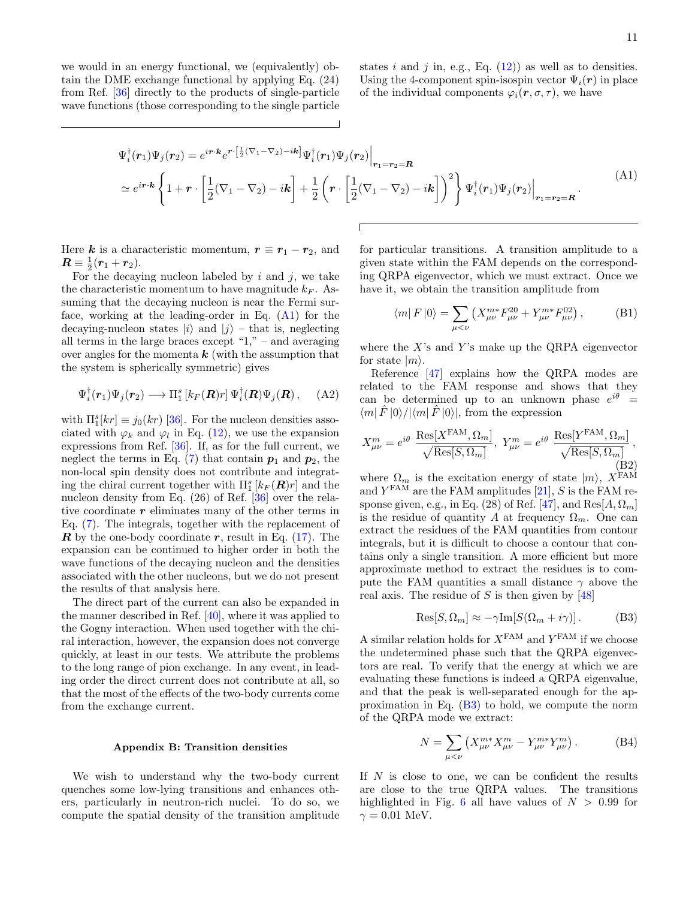we would in an energy functional, we (equivalently) obtain the DME exchange functional by applying Eq. (24) from Ref. [\[36\]](#page-12-24) directly to the products of single-particle wave functions (those corresponding to the single particle states i and j in, e.g., Eq.  $(12)$  as well as to densities. Using the 4-component spin-isospin vector  $\Psi_i(\mathbf{r})$  in place of the individual components  $\varphi_i(\mathbf{r}, \sigma, \tau)$ , we have

<span id="page-10-1"></span>
$$
\Psi_i^{\dagger}(\mathbf{r}_1)\Psi_j(\mathbf{r}_2) = e^{i\mathbf{r}\cdot\mathbf{k}}e^{\mathbf{r}\cdot\left[\frac{1}{2}(\nabla_1-\nabla_2)-i\mathbf{k}\right]}\Psi_i^{\dagger}(\mathbf{r}_1)\Psi_j(\mathbf{r}_2)\Big|_{\mathbf{r}_1=\mathbf{r}_2=\mathbf{R}}
$$
\n
$$
\simeq e^{i\mathbf{r}\cdot\mathbf{k}}\left\{1+\mathbf{r}\cdot\left[\frac{1}{2}(\nabla_1-\nabla_2)-i\mathbf{k}\right]+\frac{1}{2}\left(\mathbf{r}\cdot\left[\frac{1}{2}(\nabla_1-\nabla_2)-i\mathbf{k}\right]\right)^2\right\}\Psi_i^{\dagger}(\mathbf{r}_1)\Psi_j(\mathbf{r}_2)\Big|_{\mathbf{r}_1=\mathbf{r}_2=\mathbf{R}}.\tag{A1}
$$

Here k is a characteristic momentum,  $r \equiv r_1 - r_2$ , and  $\boldsymbol{R} \equiv \frac{1}{2}(\boldsymbol{r}_1 + \boldsymbol{r}_2).$ 

For the decaying nucleon labeled by  $i$  and  $j$ , we take the characteristic momentum to have magnitude  $k_F$ . Assuming that the decaying nucleon is near the Fermi surface, working at the leading-order in Eq. [\(A1\)](#page-10-1) for the decaying-nucleon states  $|i\rangle$  and  $|j\rangle$  – that is, neglecting all terms in the large braces except " $1$ ," – and averaging over angles for the momenta  $k$  (with the assumption that the system is spherically symmetric) gives

$$
\Psi_i^{\dagger}(\mathbf{r}_1)\Psi_j(\mathbf{r}_2) \longrightarrow \Pi_1^s \left[ k_F(\mathbf{R})r \right] \Psi_i^{\dagger}(\mathbf{R})\Psi_j(\mathbf{R}), \quad \text{(A2)}
$$

with  $\Pi_1^s[kr] \equiv j_0(kr)$  [\[36\]](#page-12-24). For the nucleon densities associated with  $\varphi_k$  and  $\varphi_l$  in Eq. [\(12\)](#page-2-4), we use the expansion expressions from Ref. [\[36\]](#page-12-24). If, as for the full current, we neglect the terms in Eq. [\(7\)](#page-1-4) that contain  $p_1$  and  $p_2$ , the non-local spin density does not contribute and integrating the chiral current together with  $\Pi_1^s \left[ k_F(\mathbf{R}) r \right]$  and the nucleon density from Eq. (26) of Ref. [\[36\]](#page-12-24) over the relative coordinate  $r$  eliminates many of the other terms in Eq. [\(7\)](#page-1-4). The integrals, together with the replacement of  $\mathbb R$  by the one-body coordinate  $\mathbb r$ , result in Eq. [\(17\)](#page-3-2). The expansion can be continued to higher order in both the wave functions of the decaying nucleon and the densities associated with the other nucleons, but we do not present the results of that analysis here.

The direct part of the current can also be expanded in the manner described in Ref. [\[40\]](#page-12-17), where it was applied to the Gogny interaction. When used together with the chiral interaction, however, the expansion does not converge quickly, at least in our tests. We attribute the problems to the long range of pion exchange. In any event, in leading order the direct current does not contribute at all, so that the most of the effects of the two-body currents come from the exchange current.

#### <span id="page-10-0"></span>Appendix B: Transition densities

We wish to understand why the two-body current quenches some low-lying transitions and enhances others, particularly in neutron-rich nuclei. To do so, we compute the spatial density of the transition amplitude

for particular transitions. A transition amplitude to a given state within the FAM depends on the corresponding QRPA eigenvector, which we must extract. Once we have it, we obtain the transition amplitude from

<span id="page-10-3"></span>
$$
\langle m|F|0\rangle = \sum_{\mu < \nu} \left( X_{\mu\nu}^{m*} F_{\mu\nu}^{20} + Y_{\mu\nu}^{m*} F_{\mu\nu}^{02} \right),\tag{B1}
$$

where the  $X$ 's and  $Y$ 's make up the QRPA eigenvector for state  $|m\rangle$ .

Reference [\[47\]](#page-12-25) explains how the QRPA modes are related to the FAM response and shows that they can be determined up to an unknown phase  $e^{i\theta}$  =  $\langle m|\hat{F}|0\rangle/|\langle m|\hat{F}|0\rangle|$ , from the expression

$$
X_{\mu\nu}^{m} = e^{i\theta} \frac{\text{Res}[X^{\text{FAM}}, \Omega_{m}]}{\sqrt{\text{Res}[S, \Omega_{m}]}}, \ Y_{\mu\nu}^{m} = e^{i\theta} \frac{\text{Res}[Y^{\text{FAM}}, \Omega_{m}]}{\sqrt{\text{Res}[S, \Omega_{m}]}},
$$
(B2)

where  $\Omega_m$  is the excitation energy of state  $|m\rangle$ ,  $X^{\text{FAM}}$ and  $Y<sup>FAM</sup>$  are the FAM amplitudes [\[21\]](#page-12-3), S is the FAM re-sponse given, e.g., in Eq. (28) of Ref. [\[47\]](#page-12-25), and  $\text{Res}[A,\Omega_m]$ is the residue of quantity A at frequency  $\Omega_m$ . One can extract the residues of the FAM quantities from contour integrals, but it is difficult to choose a contour that contains only a single transition. A more efficient but more approximate method to extract the residues is to compute the FAM quantities a small distance  $\gamma$  above the real axis. The residue of S is then given by  $[48]$ 

<span id="page-10-2"></span>
$$
Res[S, \Omega_m] \approx -\gamma Im[S(\Omega_m + i\gamma)]. \tag{B3}
$$

A similar relation holds for  $X^{FAM}$  and  $Y^{FAM}$  if we choose the undetermined phase such that the QRPA eigenvectors are real. To verify that the energy at which we are evaluating these functions is indeed a QRPA eigenvalue, and that the peak is well-separated enough for the approximation in Eq. [\(B3\)](#page-10-2) to hold, we compute the norm of the QRPA mode we extract:

$$
N = \sum_{\mu < \nu} \left( X_{\mu\nu}^{m*} X_{\mu\nu}^m - Y_{\mu\nu}^{m*} Y_{\mu\nu}^m \right). \tag{B4}
$$

If  $N$  is close to one, we can be confident the results are close to the true QRPA values. The transitions highlighted in Fig. [6](#page-7-1) all have values of  $N > 0.99$  for  $\gamma = 0.01$  MeV.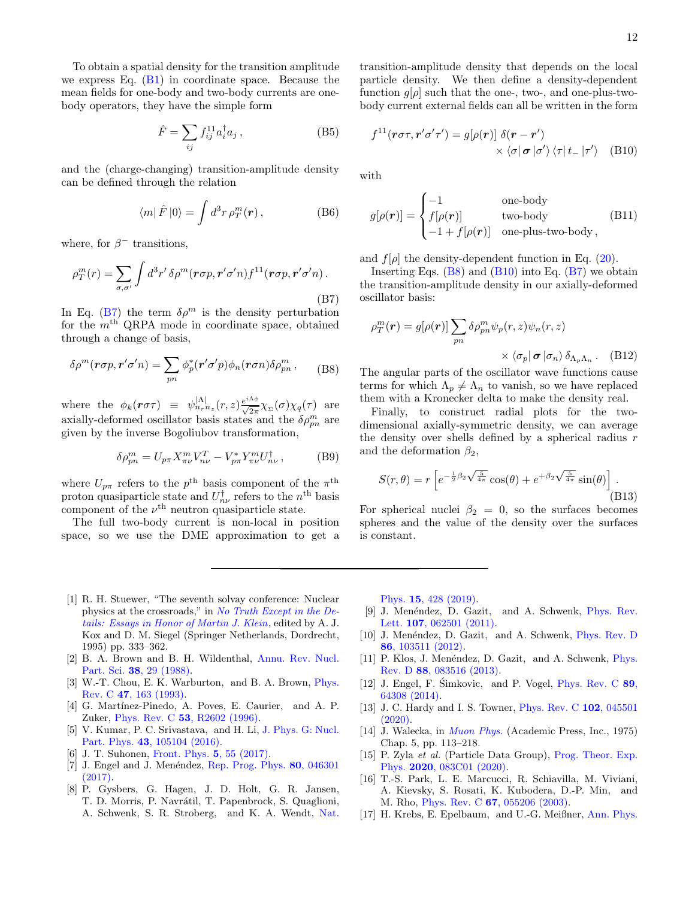To obtain a spatial density for the transition amplitude we express Eq.  $(B1)$  in coordinate space. Because the mean fields for one-body and two-body currents are onebody operators, they have the simple form

$$
\hat{F} = \sum_{ij} f_{ij}^{11} a_i^{\dagger} a_j , \qquad (B5)
$$

and the (charge-changing) transition-amplitude density can be defined through the relation

$$
\langle m|\hat{F}|0\rangle = \int d^3r \,\rho_T^m(\mathbf{r}),\qquad (B6)
$$

where, for  $\beta^-$  transitions,

<span id="page-11-17"></span>
$$
\rho_T^m(r) = \sum_{\sigma,\sigma'} \int d^3r' \,\delta \rho^m(\mathbf{r}\sigma p, \mathbf{r}'\sigma' n) f^{11}(\mathbf{r}\sigma p, \mathbf{r}'\sigma' n) \,. \tag{B7}
$$

In Eq. [\(B7\)](#page-11-17) the term  $\delta \rho^m$  is the density perturbation for the  $m<sup>th</sup>$  QRPA mode in coordinate space, obtained through a change of basis,

<span id="page-11-18"></span>
$$
\delta \rho^m(\mathbf{r}\sigma p, \mathbf{r}'\sigma' n) = \sum_{pn} \phi_p^*(\mathbf{r}'\sigma' p) \phi_n(\mathbf{r}\sigma n) \delta \rho_m^m ,\qquad(B8)
$$

where the  $\phi_k(\mathbf{r}\sigma\tau) \equiv \psi_{n_r n_z}^{|\Lambda|}(r, z) \frac{e^{i\Lambda \phi}}{\sqrt{2\pi}} \chi_{\Sigma}(\sigma) \chi_q(\tau)$  are axially-deformed oscillator basis states and the  $\delta \rho_{pn}^m$  are given by the inverse Bogoliubov transformation,

$$
\delta \rho_{pn}^m = U_{p\pi} X_{\pi\nu}^m V_{n\nu}^T - V_{p\pi}^* Y_{\pi\nu}^m U_{n\nu}^\dagger ,\qquad (B9)
$$

where  $U_{p\pi}$  refers to the  $p^{\text{th}}$  basis component of the  $\pi^{\text{th}}$ proton quasiparticle state and  $U_{n\nu}^{\dagger}$  refers to the  $n^{\text{th}}$  basis component of the  $\nu^{\text{th}}$  neutron quasiparticle state.

The full two-body current is non-local in position space, so we use the DME approximation to get a transition-amplitude density that depends on the local particle density. We then define a density-dependent function  $g[\rho]$  such that the one-, two-, and one-plus-twobody current external fields can all be written in the form

<span id="page-11-19"></span>
$$
f^{11}(r\sigma\tau, \mathbf{r}'\sigma'\tau') = g[\rho(\mathbf{r})] \delta(\mathbf{r} - \mathbf{r}')
$$
  
 
$$
\times \langle \sigma | \sigma | \sigma' \rangle \langle \tau | t_- | \tau' \rangle \quad \text{(B10)}
$$

with

$$
g[\rho(\mathbf{r})] = \begin{cases}\n-1 & \text{one-body} \\
f[\rho(\mathbf{r})] & \text{two-body} \\
-1 + f[\rho(\mathbf{r})] & \text{one-plus-two-body}\n\end{cases}
$$
\n(B11)

and  $f[\rho]$  the density-dependent function in Eq. [\(20\)](#page-4-2).

Inserting Eqs.  $(B8)$  and  $(B10)$  into Eq.  $(B7)$  we obtain the transition-amplitude density in our axially-deformed oscillator basis:

$$
\rho_T^m(\mathbf{r}) = g[\rho(\mathbf{r})] \sum_{pn} \delta \rho_{pn}^m \psi_p(r, z) \psi_n(r, z)
$$

$$
\times \langle \sigma_p | \mathbf{\sigma} | \sigma_n \rangle \delta_{\Lambda_p \Lambda_n} . \quad (B12)
$$

The angular parts of the oscillator wave functions cause terms for which  $\Lambda_p \neq \Lambda_n$  to vanish, so we have replaced them with a Kronecker delta to make the density real.

Finally, to construct radial plots for the twodimensional axially-symmetric density, we can average the density over shells defined by a spherical radius  $r$ and the deformation  $\beta_2$ ,

<span id="page-11-16"></span>
$$
S(r,\theta) = r \left[ e^{-\frac{1}{2}\beta_2 \sqrt{\frac{5}{4\pi}}} \cos(\theta) + e^{+\beta_2 \sqrt{\frac{5}{4\pi}}} \sin(\theta) \right].
$$
\n(B13)

For spherical nuclei  $\beta_2 = 0$ , so the surfaces becomes spheres and the value of the density over the surfaces is constant.

- <span id="page-11-0"></span>[1] R. H. Stuewer, "The seventh solvay conference: Nuclear physics at the crossroads," in [No Truth Except in the De](http://dx.doi.org/ 10.1007/978-94-011-0217-9_15)[tails: Essays in Honor of Martin J. Klein](http://dx.doi.org/ 10.1007/978-94-011-0217-9_15), edited by A. J. Kox and D. M. Siegel (Springer Netherlands, Dordrecht, 1995) pp. 333–362.
- <span id="page-11-1"></span>[2] B. A. Brown and B. H. Wildenthal, [Annu. Rev. Nucl.](http://dx.doi.org/10.1146/annurev.ns.38.120188.000333) Part. Sci. 38[, 29 \(1988\).](http://dx.doi.org/10.1146/annurev.ns.38.120188.000333)
- <span id="page-11-2"></span>[3] W.-T. Chou, E. K. Warburton, and B. A. Brown, *[Phys.](http://dx.doi.org/10.1103/PhysRevC.47.163)* Rev. C 47[, 163 \(1993\).](http://dx.doi.org/10.1103/PhysRevC.47.163)
- [4] G. Martínez-Pinedo, A. Poves, E. Caurier, and A. P. Zuker, Phys. Rev. C 53[, R2602 \(1996\).](http://dx.doi.org/10.1103/PhysRevC.53.R2602)
- <span id="page-11-3"></span>[5] V. Kumar, P. C. Srivastava, and H. Li, [J. Phys. G: Nucl.](http://dx.doi.org/10.1088/0954-3899/43/10/105104) Part. Phys. 43[, 105104 \(2016\).](http://dx.doi.org/10.1088/0954-3899/43/10/105104)
- <span id="page-11-4"></span>[6] J. T. Suhonen, [Front. Phys.](http://dx.doi.org/10.3389/fphy.2017.00055) 5, 55 (2017).
- <span id="page-11-5"></span>[7] J. Engel and J. Menéndez, [Rep. Prog. Phys.](http://dx.doi.org/10.1088/1361-6633/aa5bc5) 80, 046301 [\(2017\).](http://dx.doi.org/10.1088/1361-6633/aa5bc5)
- <span id="page-11-6"></span>[8] P. Gysbers, G. Hagen, J. D. Holt, G. R. Jansen, T. D. Morris, P. Navrátil, T. Papenbrock, S. Quaglioni, A. Schwenk, S. R. Stroberg, and K. A. Wendt, [Nat.](http://dx.doi.org/10.1038/s41567-019-0450-7)

Phys. 15[, 428 \(2019\).](http://dx.doi.org/10.1038/s41567-019-0450-7)

- <span id="page-11-7"></span>[9] J. Menéndez, D. Gazit, and A. Schwenk, [Phys. Rev.](http://dx.doi.org/10.1103/PhysRevLett.107.062501) Lett. **107**[, 062501 \(2011\).](http://dx.doi.org/10.1103/PhysRevLett.107.062501)
- <span id="page-11-15"></span>[10] J. Menéndez, D. Gazit, and A. Schwenk, [Phys. Rev. D](http://dx.doi.org/10.1103/PhysRevD.86.103511) 86[, 103511 \(2012\).](http://dx.doi.org/10.1103/PhysRevD.86.103511)
- <span id="page-11-14"></span>[11] P. Klos, J. Menéndez, D. Gazit, and A. Schwenk, [Phys.](http://dx.doi.org/10.1103/PhysRevD.88.083516) Rev. D 88[, 083516 \(2013\).](http://dx.doi.org/10.1103/PhysRevD.88.083516)
- <span id="page-11-8"></span>[12] J. Engel, F. Simkovic, and P. Vogel,  $Phys.$  Rev. C  $89$ , [64308 \(2014\).](http://dx.doi.org/10.1103/PhysRevC.89.064308)
- <span id="page-11-9"></span>[13] J. C. Hardy and I. S. Towner, *[Phys. Rev. C](http://dx.doi.org/10.1103/PhysRevC.102.045501)* **102**, 045501 [\(2020\).](http://dx.doi.org/10.1103/PhysRevC.102.045501)
- <span id="page-11-10"></span>[14] J. Walecka, in *[Muon Phys.](http://dx.doi.org/10.1016/b978-0-12-360602-0.50010-5)* (Academic Press, Inc., 1975) Chap. 5, pp. 113–218.
- <span id="page-11-11"></span>[15] P. Zyla et al. (Particle Data Group), [Prog. Theor. Exp.](http://dx.doi.org/10.1093/ptep/ptaa104) Phys. 2020[, 083C01 \(2020\).](http://dx.doi.org/10.1093/ptep/ptaa104)
- <span id="page-11-12"></span>[16] T.-S. Park, L. E. Marcucci, R. Schiavilla, M. Viviani, A. Kievsky, S. Rosati, K. Kubodera, D.-P. Min, and M. Rho, Phys. Rev. C 67[, 055206 \(2003\).](http://dx.doi.org/10.1103/PhysRevC.67.055206)
- <span id="page-11-13"></span>[17] H. Krebs, E. Epelbaum, and U.-G. Meißner, [Ann. Phys.](http://dx.doi.org/10.1016/J.AOP.2017.01.021)